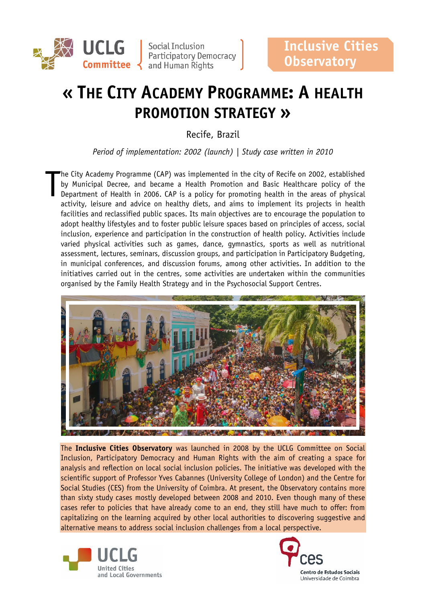

**UCLG** Social Inclusion<br>
Participatory Democracy<br>
Committee and Human Rights

# **« THE CITY ACADEMY PROGRAMME: A HEALTH PROMOTION STRATEGY »**

Recife, Brazil

*Period of implementation: 2002 (launch) | Study case written in 2010*

he City Academy Programme (CAP) was implemented in the city of Recife on 2002, established by Municipal Decree, and became a Health Promotion and Basic Healthcare policy of the Department of Health in 2006. CAP is a policy for promoting health in the areas of physical activity, leisure and advice on healthy diets, and aims to implement its projects in health facilities and reclassified public spaces. Its main objectives are to encourage the population to adopt healthy lifestyles and to foster public leisure spaces based on principles of access, social inclusion, experience and participation in the construction of health policy. Activities include varied physical activities such as games, dance, gymnastics, sports as well as nutritional assessment, lectures, seminars, discussion groups, and participation in Participatory Budgeting, in municipal conferences, and discussion forums, among other activities. In addition to the initiatives carried out in the centres, some activities are undertaken within the communities organised by the Family Health Strategy and in the Psychosocial Support Centres. T



The **Inclusive Cities Observatory** was launched in 2008 by the UCLG Committee on Social Inclusion, Participatory Democracy and Human Rights with the aim of creating a space for analysis and reflection on local social inclusion policies. The initiative was developed with the scientific support of Professor Yves Cabannes (University College of London) and the Centre for Social Studies (CES) from the University of Coimbra. At present, the Observatory contains more than sixty study cases mostly developed between 2008 and 2010. Even though many of these cases refer to policies that have already come to an end, they still have much to offer: from capitalizing on the learning acquired by other local authorities to discovering suggestive and alternative means to address social inclusion challenges from a local perspective.



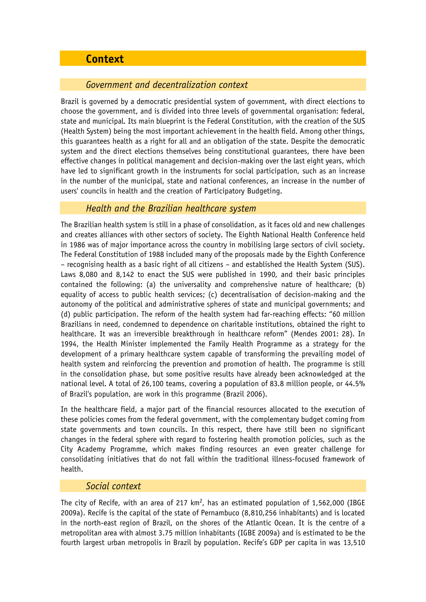# **Context**

## *Government and decentralization context*

Brazil is governed by a democratic presidential system of government, with direct elections to choose the government, and is divided into three levels of governmental organisation: federal, state and municipal. Its main blueprint is the Federal Constitution, with the creation of the SUS (Health System) being the most important achievement in the health field. Among other things, this guarantees health as a right for all and an obligation of the state. Despite the democratic system and the direct elections themselves being constitutional guarantees, there have been effective changes in political management and decision-making over the last eight years, which have led to significant growth in the instruments for social participation, such as an increase in the number of the municipal, state and national conferences, an increase in the number of users' councils in health and the creation of Participatory Budgeting.

## *Health and the Brazilian healthcare system*

The Brazilian health system is still in a phase of consolidation, as it faces old and new challenges and creates alliances with other sectors of society. The Eighth National Health Conference held in 1986 was of major importance across the country in mobilising large sectors of civil society. The Federal Constitution of 1988 included many of the proposals made by the Eighth Conference – recognising health as a basic right of all citizens – and established the Health System (SUS). Laws 8,080 and 8,142 to enact the SUS were published in 1990, and their basic principles contained the following: (a) the universality and comprehensive nature of healthcare; (b) equality of access to public health services; (c) decentralisation of decision-making and the autonomy of the political and administrative spheres of state and municipal governments; and (d) public participation. The reform of the health system had far-reaching effects: "60 million Brazilians in need, condemned to dependence on charitable institutions, obtained the right to healthcare. It was an irreversible breakthrough in healthcare reform" (Mendes 2001: 28). In 1994, the Health Minister implemented the Family Health Programme as a strategy for the development of a primary healthcare system capable of transforming the prevailing model of health system and reinforcing the prevention and promotion of health. The programme is still in the consolidation phase, but some positive results have already been acknowledged at the national level. A total of 26,100 teams, covering a population of 83.8 million people, or 44.5% of Brazil's population, are work in this programme (Brazil 2006).

In the healthcare field, a major part of the financial resources allocated to the execution of these policies comes from the federal government, with the complementary budget coming from state governments and town councils. In this respect, there have still been no significant changes in the federal sphere with regard to fostering health promotion policies, such as the City Academy Programme, which makes finding resources an even greater challenge for consolidating initiatives that do not fall within the traditional illness-focused framework of health.

#### *Social context*

The city of Recife, with an area of 217  $km^2$ , has an estimated population of 1,562,000 (IBGE 2009a). Recife is the capital of the state of Pernambuco (8,810,256 inhabitants) and is located in the north-east region of Brazil, on the shores of the Atlantic Ocean. It is the centre of a metropolitan area with almost 3.75 million inhabitants (IGBE 2009a) and is estimated to be the fourth largest urban metropolis in Brazil by population. Recife's GDP per capita in was 13,510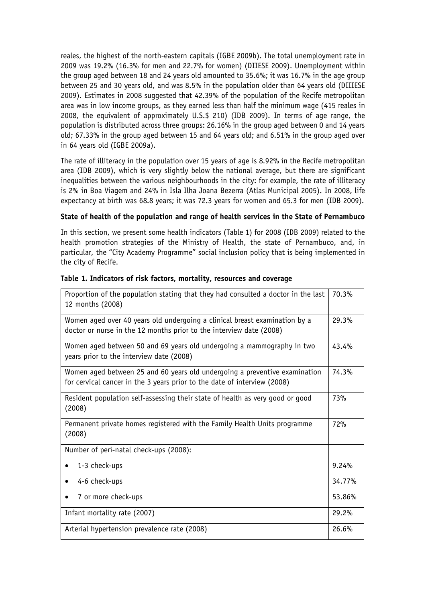reales, the highest of the north-eastern capitals (IGBE 2009b). The total unemployment rate in 2009 was 19.2% (16.3% for men and 22.7% for women) (DIIESE 2009). Unemployment within the group aged between 18 and 24 years old amounted to 35.6%; it was 16.7% in the age group between 25 and 30 years old, and was 8.5% in the population older than 64 years old (DIIIESE 2009). Estimates in 2008 suggested that 42.39% of the population of the Recife metropolitan area was in low income groups, as they earned less than half the minimum wage (415 reales in 2008, the equivalent of approximately U.S.\$ 210) (IDB 2009). In terms of age range, the population is distributed across three groups: 26.16% in the group aged between 0 and 14 years old; 67.33% in the group aged between 15 and 64 years old; and 6.51% in the group aged over in 64 years old (IGBE 2009a).

The rate of illiteracy in the population over 15 years of age is 8.92% in the Recife metropolitan area (IDB 2009), which is very slightly below the national average, but there are significant inequalities between the various neighbourhoods in the city: for example, the rate of illiteracy is 2% in Boa Viagem and 24% in Isla Ilha Joana Bezerra (Atlas Municipal 2005). In 2008, life expectancy at birth was 68.8 years; it was 72.3 years for women and 65.3 for men (IDB 2009).

#### **State of health of the population and range of health services in the State of Pernambuco**

In this section, we present some health indicators (Table 1) for 2008 (IDB 2009) related to the health promotion strategies of the Ministry of Health, the state of Pernambuco, and, in particular, the "City Academy Programme" social inclusion policy that is being implemented in the city of Recife.

| Proportion of the population stating that they had consulted a doctor in the last<br>12 months (2008)                                                  | 70.3%  |
|--------------------------------------------------------------------------------------------------------------------------------------------------------|--------|
| Women aged over 40 years old undergoing a clinical breast examination by a<br>doctor or nurse in the 12 months prior to the interview date (2008)      | 29.3%  |
| Women aged between 50 and 69 years old undergoing a mammography in two<br>years prior to the interview date (2008)                                     | 43.4%  |
| Women aged between 25 and 60 years old undergoing a preventive examination<br>for cervical cancer in the 3 years prior to the date of interview (2008) | 74.3%  |
| Resident population self-assessing their state of health as very good or good<br>(2008)                                                                | 73%    |
| Permanent private homes registered with the Family Health Units programme<br>(2008)                                                                    | 72%    |
| Number of peri-natal check-ups (2008):                                                                                                                 |        |
| 1-3 check-ups                                                                                                                                          | 9.24%  |
| 4-6 check-ups                                                                                                                                          | 34.77% |
| 7 or more check-ups                                                                                                                                    | 53.86% |
| Infant mortality rate (2007)                                                                                                                           | 29.2%  |
| Arterial hypertension prevalence rate (2008)                                                                                                           | 26.6%  |

#### **Table 1. Indicators of risk factors, mortality, resources and coverage**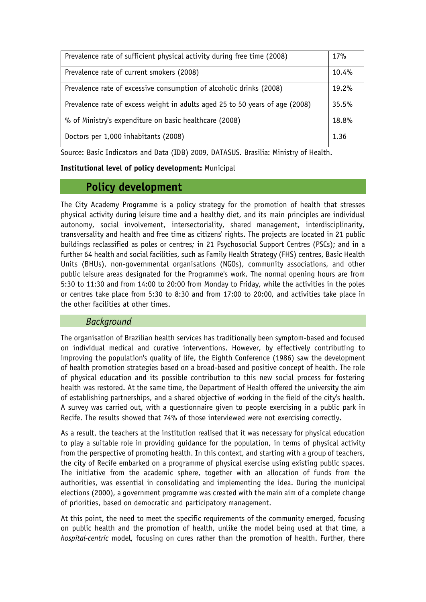| Prevalence rate of sufficient physical activity during free time (2008)      | 17%      |
|------------------------------------------------------------------------------|----------|
| Prevalence rate of current smokers (2008)                                    | 10.4%    |
| Prevalence rate of excessive consumption of alcoholic drinks (2008)          | $19.2\%$ |
| Prevalence rate of excess weight in adults aged 25 to 50 years of age (2008) | 35.5%    |
| % of Ministry's expenditure on basic healthcare (2008)                       | 18.8%    |
| Doctors per 1,000 inhabitants (2008)                                         | 1.36     |

Source: Basic Indicators and Data (IDB) 2009, DATASUS. Brasilia: Ministry of Health.

**Institutional level of policy development:** Municipal

# **Policy development**

The City Academy Programme is a policy strategy for the promotion of health that stresses physical activity during leisure time and a healthy diet, and its main principles are individual autonomy, social involvement, intersectoriality, shared management, interdisciplinarity, transversality and health and free time as citizens' rights. The projects are located in 21 public buildings reclassified as poles or centres*;* in 21 Psychosocial Support Centres (PSCs); and in a further 64 health and social facilities, such as Family Health Strategy (FHS) centres, Basic Health Units (BHUs), non-governmental organisations (NGOs), community associations, and other public leisure areas designated for the Programme's work. The normal opening hours are from 5:30 to 11:30 and from 14:00 to 20:00 from Monday to Friday, while the activities in the poles or centres take place from 5:30 to 8:30 and from 17:00 to 20:00, and activities take place in the other facilities at other times.

#### *Background*

The organisation of Brazilian health services has traditionally been symptom-based and focused on individual medical and curative interventions. However, by effectively contributing to improving the population's quality of life, the Eighth Conference (1986) saw the development of health promotion strategies based on a broad-based and positive concept of health. The role of physical education and its possible contribution to this new social process for fostering health was restored. At the same time, the Department of Health offered the university the aim of establishing partnerships, and a shared objective of working in the field of the city's health. A survey was carried out, with a questionnaire given to people exercising in a public park in Recife. The results showed that 74% of those interviewed were not exercising correctly.

As a result, the teachers at the institution realised that it was necessary for physical education to play a suitable role in providing guidance for the population, in terms of physical activity from the perspective of promoting health. In this context, and starting with a group of teachers, the city of Recife embarked on a programme of physical exercise using existing public spaces. The initiative from the academic sphere, together with an allocation of funds from the authorities, was essential in consolidating and implementing the idea. During the municipal elections (2000), a government programme was created with the main aim of a complete change of priorities, based on democratic and participatory management.

At this point, the need to meet the specific requirements of the community emerged, focusing on public health and the promotion of health, unlike the model being used at that time, a *hospital-centric* model, focusing on cures rather than the promotion of health. Further, there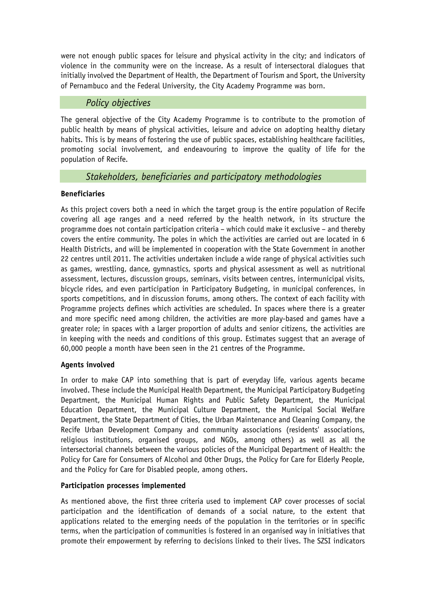were not enough public spaces for leisure and physical activity in the city; and indicators of violence in the community were on the increase. As a result of intersectoral dialogues that initially involved the Department of Health, the Department of Tourism and Sport, the University of Pernambuco and the Federal University, the City Academy Programme was born.

### *Policy objectives*

The general objective of the City Academy Programme is to contribute to the promotion of public health by means of physical activities, leisure and advice on adopting healthy dietary habits. This is by means of fostering the use of public spaces, establishing healthcare facilities, promoting social involvement, and endeavouring to improve the quality of life for the population of Recife.

# *Stakeholders, beneficiaries and participatory methodologies*

#### **Beneficiaries**

As this project covers both a need in which the target group is the entire population of Recife covering all age ranges and a need referred by the health network, in its structure the programme does not contain participation criteria – which could make it exclusive – and thereby covers the entire community. The poles in which the activities are carried out are located in 6 Health Districts, and will be implemented in cooperation with the State Government in another 22 centres until 2011. The activities undertaken include a wide range of physical activities such as games, wrestling, dance, gymnastics, sports and physical assessment as well as nutritional assessment, lectures, discussion groups, seminars, visits between centres, intermunicipal visits, bicycle rides, and even participation in Participatory Budgeting, in municipal conferences, in sports competitions, and in discussion forums, among others. The context of each facility with Programme projects defines which activities are scheduled. In spaces where there is a greater and more specific need among children, the activities are more play-based and games have a greater role; in spaces with a larger proportion of adults and senior citizens, the activities are in keeping with the needs and conditions of this group. Estimates suggest that an average of 60,000 people a month have been seen in the 21 centres of the Programme.

#### **Agents involved**

In order to make CAP into something that is part of everyday life, various agents became involved. These include the Municipal Health Department, the Municipal Participatory Budgeting Department, the Municipal Human Rights and Public Safety Department, the Municipal Education Department, the Municipal Culture Department, the Municipal Social Welfare Department, the State Department of Cities, the Urban Maintenance and Cleaning Company, the Recife Urban Development Company and community associations (residents' associations, religious institutions, organised groups, and NGOs, among others) as well as all the intersectorial channels between the various policies of the Municipal Department of Health: the Policy for Care for Consumers of Alcohol and Other Drugs, the Policy for Care for Elderly People, and the Policy for Care for Disabled people, among others.

#### **Participation processes implemented**

As mentioned above, the first three criteria used to implement CAP cover processes of social participation and the identification of demands of a social nature, to the extent that applications related to the emerging needs of the population in the territories or in specific terms, when the participation of communities is fostered in an organised way in initiatives that promote their empowerment by referring to decisions linked to their lives. The SZSI indicators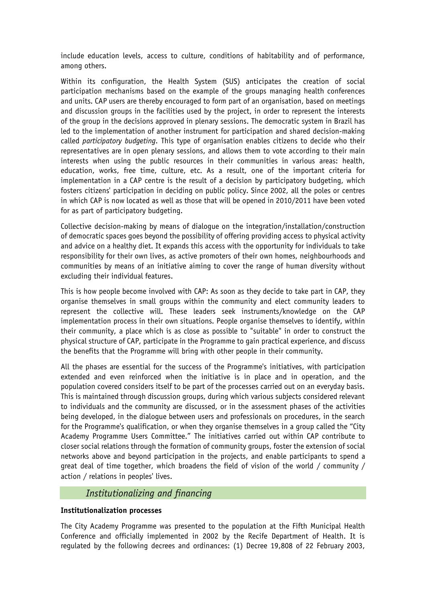include education levels, access to culture, conditions of habitability and of performance, among others.

Within its configuration, the Health System (SUS) anticipates the creation of social participation mechanisms based on the example of the groups managing health conferences and units. CAP users are thereby encouraged to form part of an organisation, based on meetings and discussion groups in the facilities used by the project, in order to represent the interests of the group in the decisions approved in plenary sessions. The democratic system in Brazil has led to the implementation of another instrument for participation and shared decision-making called *participatory budgeting*. This type of organisation enables citizens to decide who their representatives are in open plenary sessions, and allows them to vote according to their main interests when using the public resources in their communities in various areas: health, education, works, free time, culture, etc. As a result, one of the important criteria for implementation in a CAP centre is the result of a decision by participatory budgeting, which fosters citizens' participation in deciding on public policy. Since 2002, all the poles or centres in which CAP is now located as well as those that will be opened in 2010/2011 have been voted for as part of participatory budgeting.

Collective decision-making by means of dialogue on the integration/installation/construction of democratic spaces goes beyond the possibility of offering providing access to physical activity and advice on a healthy diet. It expands this access with the opportunity for individuals to take responsibility for their own lives, as active promoters of their own homes, neighbourhoods and communities by means of an initiative aiming to cover the range of human diversity without excluding their individual features.

This is how people become involved with CAP: As soon as they decide to take part in CAP, they organise themselves in small groups within the community and elect community leaders to represent the collective will. These leaders seek instruments/knowledge on the CAP implementation process in their own situations. People organise themselves to identify, within their community, a place which is as close as possible to "suitable" in order to construct the physical structure of CAP, participate in the Programme to gain practical experience, and discuss the benefits that the Programme will bring with other people in their community.

All the phases are essential for the success of the Programme's initiatives, with participation extended and even reinforced when the initiative is in place and in operation, and the population covered considers itself to be part of the processes carried out on an everyday basis. This is maintained through discussion groups, during which various subjects considered relevant to individuals and the community are discussed, or in the assessment phases of the activities being developed, in the dialogue between users and professionals on procedures, in the search for the Programme's qualification, or when they organise themselves in a group called the "City Academy Programme Users Committee." The initiatives carried out within CAP contribute to closer social relations through the formation of community groups, foster the extension of social networks above and beyond participation in the projects, and enable participants to spend a great deal of time together, which broadens the field of vision of the world / community / action / relations in peoples' lives.

#### *Institutionalizing and financing*

#### **Institutionalization processes**

The City Academy Programme was presented to the population at the Fifth Municipal Health Conference and officially implemented in 2002 by the Recife Department of Health. It is regulated by the following decrees and ordinances: (1) Decree 19,808 of 22 February 2003,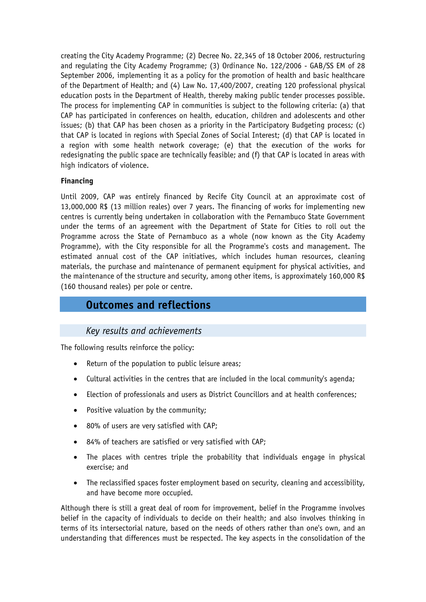creating the City Academy Programme; (2) Decree No. 22,345 of 18 October 2006, restructuring and regulating the City Academy Programme; (3) Ordinance No. 122/2006 - GAB/SS EM of 28 September 2006, implementing it as a policy for the promotion of health and basic healthcare of the Department of Health; and (4) Law No. 17,400/2007, creating 120 professional physical education posts in the Department of Health, thereby making public tender processes possible. The process for implementing CAP in communities is subject to the following criteria: (a) that CAP has participated in conferences on health, education, children and adolescents and other issues; (b) that CAP has been chosen as a priority in the Participatory Budgeting process; (c) that CAP is located in regions with Special Zones of Social Interest; (d) that CAP is located in a region with some health network coverage; (e) that the execution of the works for redesignating the public space are technically feasible; and (f) that CAP is located in areas with high indicators of violence.

#### **Financing**

Until 2009, CAP was entirely financed by Recife City Council at an approximate cost of 13,000,000 R\$ (13 million reales) over 7 years. The financing of works for implementing new centres is currently being undertaken in collaboration with the Pernambuco State Government under the terms of an agreement with the Department of State for Cities to roll out the Programme across the State of Pernambuco as a whole (now known as the City Academy Programme), with the City responsible for all the Programme's costs and management. The estimated annual cost of the CAP initiatives, which includes human resources, cleaning materials, the purchase and maintenance of permanent equipment for physical activities, and the maintenance of the structure and security, among other items, is approximately 160,000 R\$ (160 thousand reales) per pole or centre.

# **Outcomes and reflections**

# *Key results and achievements*

The following results reinforce the policy:

- Return of the population to public leisure areas;
- Cultural activities in the centres that are included in the local community's agenda;
- Election of professionals and users as District Councillors and at health conferences;
- Positive valuation by the community;
- 80% of users are very satisfied with CAP;
- 84% of teachers are satisfied or very satisfied with CAP;
- The places with centres triple the probability that individuals engage in physical exercise; and
- The reclassified spaces foster employment based on security, cleaning and accessibility, and have become more occupied.

Although there is still a great deal of room for improvement, belief in the Programme involves belief in the capacity of individuals to decide on their health; and also involves thinking in terms of its intersectorial nature, based on the needs of others rather than one's own, and an understanding that differences must be respected. The key aspects in the consolidation of the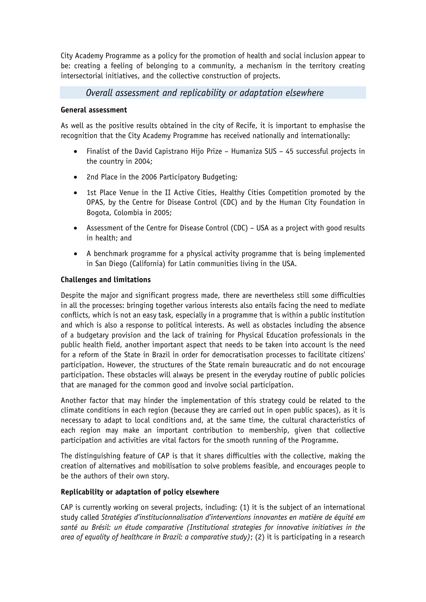City Academy Programme as a policy for the promotion of health and social inclusion appear to be: creating a feeling of belonging to a community, a mechanism in the territory creating intersectorial initiatives, and the collective construction of projects.

## *Overall assessment and replicability or adaptation elsewhere*

#### **General assessment**

As well as the positive results obtained in the city of Recife, it is important to emphasise the recognition that the City Academy Programme has received nationally and internationally:

- Finalist of the David Capistrano Hijo Prize Humaniza SUS 45 successful projects in the country in 2004;
- 2nd Place in the 2006 Participatory Budgeting;
- 1st Place Venue in the II Active Cities, Healthy Cities Competition promoted by the OPAS, by the Centre for Disease Control (CDC) and by the Human City Foundation in Bogota, Colombia in 2005;
- Assessment of the Centre for Disease Control (CDC) USA as a project with good results in health; and
- A benchmark programme for a physical activity programme that is being implemented in San Diego (California) for Latin communities living in the USA.

#### **Challenges and limitations**

Despite the major and significant progress made, there are nevertheless still some difficulties in all the processes: bringing together various interests also entails facing the need to mediate conflicts, which is not an easy task, especially in a programme that is within a public institution and which is also a response to political interests. As well as obstacles including the absence of a budgetary provision and the lack of training for Physical Education professionals in the public health field, another important aspect that needs to be taken into account is the need for a reform of the State in Brazil in order for democratisation processes to facilitate citizens' participation. However, the structures of the State remain bureaucratic and do not encourage participation. These obstacles will always be present in the everyday routine of public policies that are managed for the common good and involve social participation.

Another factor that may hinder the implementation of this strategy could be related to the climate conditions in each region (because they are carried out in open public spaces), as it is necessary to adapt to local conditions and, at the same time, the cultural characteristics of each region may make an important contribution to membership, given that collective participation and activities are vital factors for the smooth running of the Programme.

The distinguishing feature of CAP is that it shares difficulties with the collective, making the creation of alternatives and mobilisation to solve problems feasible, and encourages people to be the authors of their own story.

#### **Replicability or adaptation of policy elsewhere**

CAP is currently working on several projects, including: (1) it is the subject of an international study called *Stratégies d'institucionnalisation d'interventions innovantes en matière de équité em santé au Brésil: un étude comparative (Institutional strategies for innovative initiatives in the area of equality of healthcare in Brazil: a comparative study)*; (2) it is participating in a research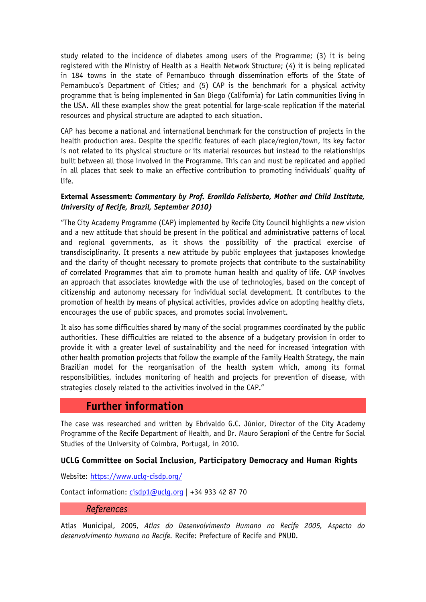study related to the incidence of diabetes among users of the Programme; (3) it is being registered with the Ministry of Health as a Health Network Structure; (4) it is being replicated in 184 towns in the state of Pernambuco through dissemination efforts of the State of Pernambuco's Department of Cities; and (5) CAP is the benchmark for a physical activity programme that is being implemented in San Diego (California) for Latin communities living in the USA. All these examples show the great potential for large-scale replication if the material resources and physical structure are adapted to each situation.

CAP has become a national and international benchmark for the construction of projects in the health production area. Despite the specific features of each place/region/town, its key factor is not related to its physical structure or its material resources but instead to the relationships built between all those involved in the Programme. This can and must be replicated and applied in all places that seek to make an effective contribution to promoting individuals' quality of life.

#### **External Assessment:** *Commentary by Prof. Eronildo Felisberto, Mother and Child Institute, University of Recife, Brazil, September 2010)*

"The City Academy Programme (CAP) implemented by Recife City Council highlights a new vision and a new attitude that should be present in the political and administrative patterns of local and regional governments, as it shows the possibility of the practical exercise of transdisciplinarity. It presents a new attitude by public employees that juxtaposes knowledge and the clarity of thought necessary to promote projects that contribute to the sustainability of correlated Programmes that aim to promote human health and quality of life. CAP involves an approach that associates knowledge with the use of technologies, based on the concept of citizenship and autonomy necessary for individual social development. It contributes to the promotion of health by means of physical activities, provides advice on adopting healthy diets, encourages the use of public spaces, and promotes social involvement.

It also has some difficulties shared by many of the social programmes coordinated by the public authorities. These difficulties are related to the absence of a budgetary provision in order to provide it with a greater level of sustainability and the need for increased integration with other health promotion projects that follow the example of the Family Health Strategy, the main Brazilian model for the reorganisation of the health system which, among its formal responsibilities, includes monitoring of health and projects for prevention of disease, with strategies closely related to the activities involved in the CAP."

# **Further information**

The case was researched and written by Ebrivaldo G.C. Júnior, Director of the City Academy Programme of the Recife Department of Health, and Dr. Mauro Serapioni of the Centre for Social Studies of the University of Coimbra, Portugal, in 2010.

#### **UCLG Committee on Social Inclusion, Participatory Democracy and Human Rights**

Website:<https://www.uclg-cisdp.org/>

Contact information: [cisdp1@uclg.org](mailto:cisdp1@uclg.org) | +34 933 42 87 70

#### *References*

Atlas Municipal, 2005, *Atlas do Desenvolvimento Humano no Recife 2005, Aspecto do desenvolvimento humano no Recife.* Recife: Prefecture of Recife and PNUD.